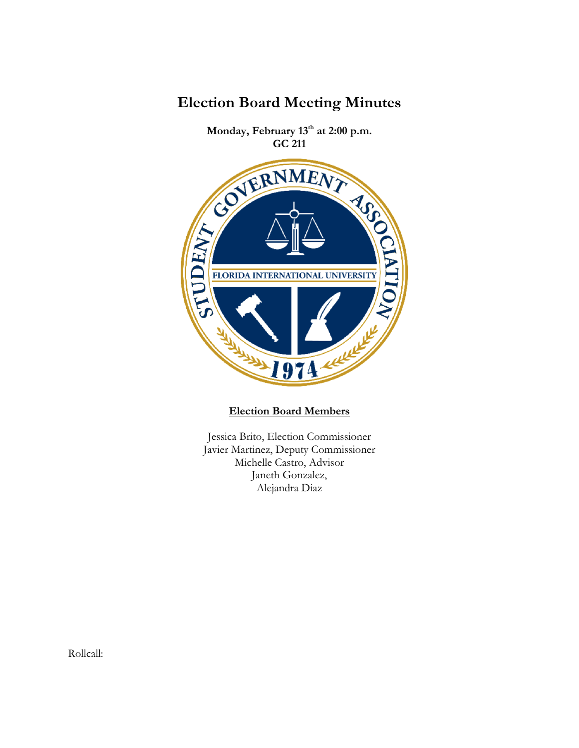

**Election Board Meeting Minutes**

**Election Board Members**

Jessica Brito, Election Commissioner Javier Martinez, Deputy Commissioner Michelle Castro, Advisor Janeth Gonzalez, Alejandra Diaz

Rollcall: